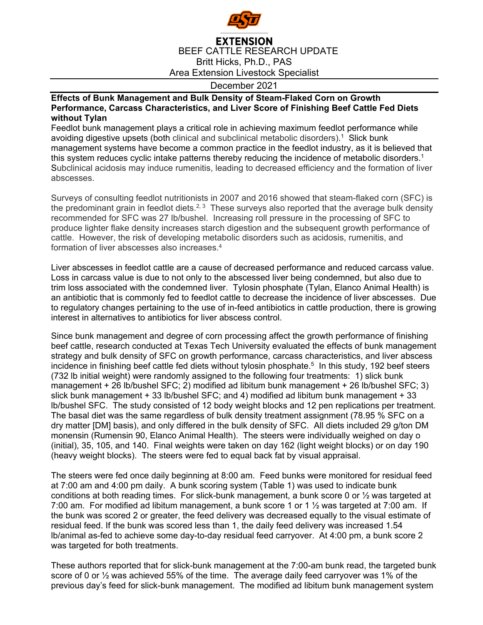

## **EXTENSION** BEEF CATTLE RESEARCH UPDATE Britt Hicks, Ph.D., PAS Area Extension Livestock Specialist

## December 2021

## **Effects of Bunk Management and Bulk Density of Steam-Flaked Corn on Growth Performance, Carcass Characteristics, and Liver Score of Finishing Beef Cattle Fed Diets without Tylan**

Feedlot bunk management plays a critical role in achieving maximum feedlot performance while avoiding digestive upsets (both clinical and subclinical metabolic disorders). 1 Slick bunk management systems have become a common practice in the feedlot industry, as it is believed that this system reduces cyclic intake patterns thereby reducing the incidence of metabolic disorders.<sup>1</sup> Subclinical acidosis may induce rumenitis, leading to decreased efficiency and the formation of liver abscesses.

Surveys of consulting feedlot nutritionists in 2007 and 2016 showed that steam-flaked corn (SFC) is the predominant grain in feedlot diets.<sup>2, 3</sup> These surveys also reported that the average bulk density recommended for SFC was 27 lb/bushel. Increasing roll pressure in the processing of SFC to produce lighter flake density increases starch digestion and the subsequent growth performance of cattle. However, the risk of developing metabolic disorders such as acidosis, rumenitis, and formation of liver abscesses also increases.4

Liver abscesses in feedlot cattle are a cause of decreased performance and reduced carcass value. Loss in carcass value is due to not only to the abscessed liver being condemned, but also due to trim loss associated with the condemned liver. Tylosin phosphate (Tylan, Elanco Animal Health) is an antibiotic that is commonly fed to feedlot cattle to decrease the incidence of liver abscesses. Due to regulatory changes pertaining to the use of in-feed antibiotics in cattle production, there is growing interest in alternatives to antibiotics for liver abscess control.

Since bunk management and degree of corn processing affect the growth performance of finishing beef cattle, research conducted at Texas Tech University evaluated the effects of bunk management strategy and bulk density of SFC on growth performance, carcass characteristics, and liver abscess incidence in finishing beef cattle fed diets without tylosin phosphate.<sup>5</sup> In this study, 192 beef steers (732 lb initial weight) were randomly assigned to the following four treatments: 1) slick bunk management + 26 lb/bushel SFC; 2) modified ad libitum bunk management + 26 lb/bushel SFC; 3) slick bunk management + 33 lb/bushel SFC; and 4) modified ad libitum bunk management + 33 lb/bushel SFC. The study consisted of 12 body weight blocks and 12 pen replications per treatment. The basal diet was the same regardless of bulk density treatment assignment (78.95 % SFC on a dry matter [DM] basis), and only differed in the bulk density of SFC. All diets included 29 g/ton DM monensin (Rumensin 90, Elanco Animal Health). The steers were individually weighed on day o (initial), 35, 105, and 140. Final weights were taken on day 162 (light weight blocks) or on day 190 (heavy weight blocks). The steers were fed to equal back fat by visual appraisal.

The steers were fed once daily beginning at 8:00 am. Feed bunks were monitored for residual feed at 7:00 am and 4:00 pm daily. A bunk scoring system (Table 1) was used to indicate bunk conditions at both reading times. For slick-bunk management, a bunk score 0 or ½ was targeted at 7:00 am. For modified ad libitum management, a bunk score 1 or 1 ½ was targeted at 7:00 am. If the bunk was scored 2 or greater, the feed delivery was decreased equally to the visual estimate of residual feed. If the bunk was scored less than 1, the daily feed delivery was increased 1.54 lb/animal as-fed to achieve some day-to-day residual feed carryover. At 4:00 pm, a bunk score 2 was targeted for both treatments.

These authors reported that for slick-bunk management at the 7:00-am bunk read, the targeted bunk score of 0 or  $\frac{1}{2}$  was achieved 55% of the time. The average daily feed carryover was 1% of the previous day's feed for slick-bunk management. The modified ad libitum bunk management system